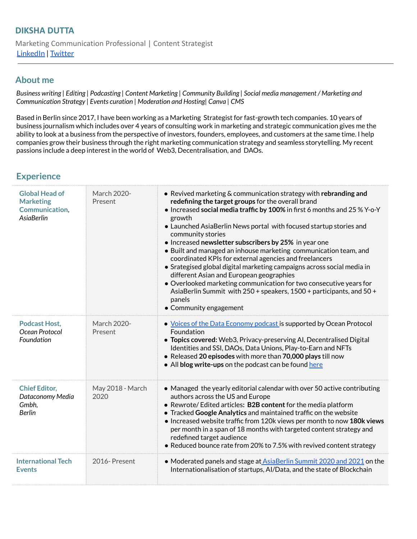## **About me**

Business writing | Editing | Podcasting | Content Marketing | Community Building | Social media management / Marketing and *Communication Strategy | Events curation | Moderation and Hosting| Canva | CMS*

Based in Berlin since 2017, I have been working as a Marketing Strategist for fast-growth tech companies. 10 years of business journalism which includes over 4 years of consulting work in marketing and strategic communication gives me the ability to look at a business from the perspective of investors, founders, employees, and customers at the same time. I help companies grow their business through the right marketing communication strategy and seamless storytelling. My recent passions include a deep interest in the world of Web3, Decentralisation, and DAOs.

## **Experience**

| <b>Global Head of</b><br><b>Marketing</b><br><b>Communication,</b><br><b>AsiaBerlin</b> | March 2020-<br>Present   | • Revived marketing & communication strategy with rebranding and<br>redefining the target groups for the overall brand<br>• Increased social media traffic by 100% in first 6 months and 25 % Y-o-Y<br>growth<br>• Launched AsiaBerlin News portal with focused startup stories and<br>community stories<br>• Increased newsletter subscribers by 25% in year one<br>• Built and managed an inhouse marketing communication team, and<br>coordinated KPIs for external agencies and freelancers<br>• Srategised global digital marketing campaigns across social media in<br>different Asian and European geographies<br>• Overlooked marketing communication for two consecutive years for<br>AsiaBerlin Summit with 250 + speakers, 1500 + participants, and 50 +<br>panels<br>• Community engagement |
|-----------------------------------------------------------------------------------------|--------------------------|---------------------------------------------------------------------------------------------------------------------------------------------------------------------------------------------------------------------------------------------------------------------------------------------------------------------------------------------------------------------------------------------------------------------------------------------------------------------------------------------------------------------------------------------------------------------------------------------------------------------------------------------------------------------------------------------------------------------------------------------------------------------------------------------------------|
| Podcast Host.<br>Ocean Protocol<br>Foundation                                           | March 2020-<br>Present   | • Voices of the Data Economy podcast is supported by Ocean Protocol<br>Foundation<br>• Topics covered: Web3, Privacy-preserving AI, Decentralised Digital<br>Identities and SSI, DAOs, Data Unions, Play-to-Earn and NFTs<br>• Released 20 episodes with more than 70,000 plays till now<br>• All blog write-ups on the podcast can be found here                                                                                                                                                                                                                                                                                                                                                                                                                                                       |
| <b>Chief Editor,</b><br>Dataconomy Media<br>Gmbh,<br>Berlin                             | May 2018 - March<br>2020 | • Managed the yearly editorial calendar with over 50 active contributing<br>authors across the US and Europe<br>• Rewrote/ Edited articles: B2B content for the media platform<br>• Tracked Google Analytics and maintained traffic on the website<br>• Increased website traffic from 120k views per month to now 180k views<br>per month in a span of 18 months with targeted content strategy and<br>redefined target audience<br>• Reduced bounce rate from 20% to 7.5% with revived content strategy                                                                                                                                                                                                                                                                                               |
| <b>International Tech</b><br><b>Events</b>                                              | 2016-Present             | • Moderated panels and stage at AsiaBerlin Summit 2020 and 2021 on the<br>Internationalisation of startups, Al/Data, and the state of Blockchain                                                                                                                                                                                                                                                                                                                                                                                                                                                                                                                                                                                                                                                        |